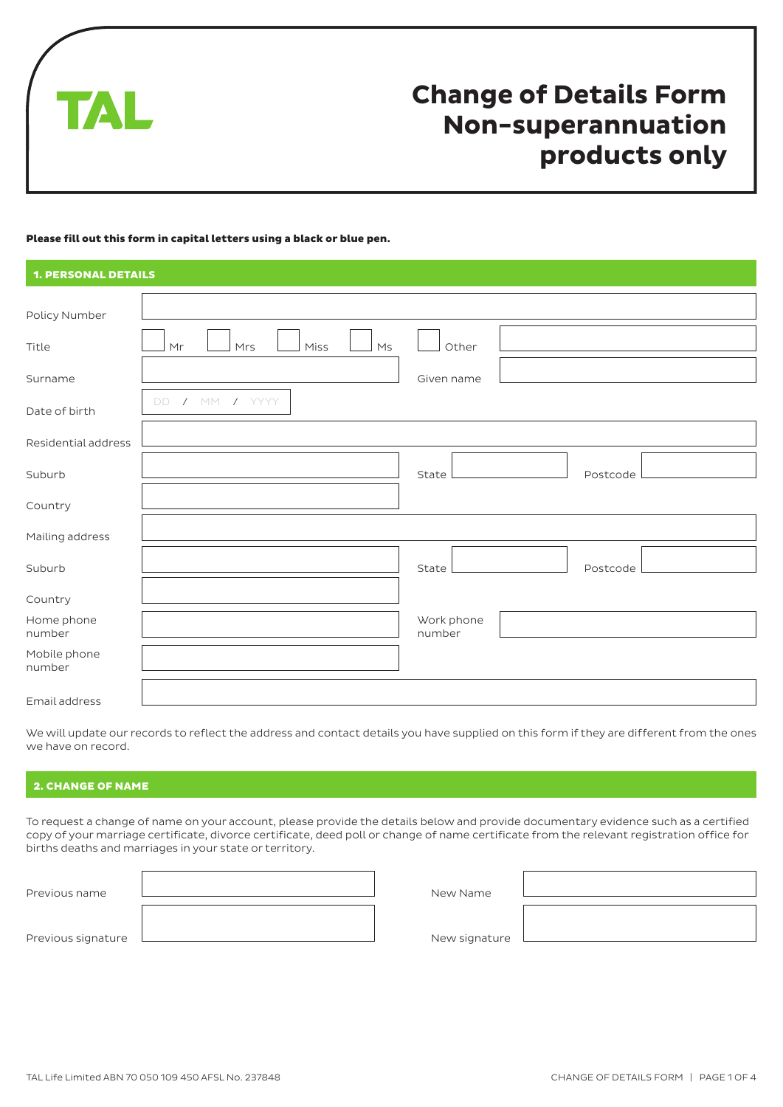

# **Change of Details Form Non-superannuation products only**

#### Please fill out this form in capital letters using a black or blue pen.

| <b>1. PERSONAL DETAILS</b> |                                     |                      |          |
|----------------------------|-------------------------------------|----------------------|----------|
|                            |                                     |                      |          |
| Policy Number              |                                     |                      |          |
| Title                      | M <sub>S</sub><br>Mr<br>Mrs<br>Miss | Other                |          |
| Surname                    |                                     | Given name           |          |
| Date of birth              | / M<br>/ YYYY<br><b>DD</b>          |                      |          |
| Residential address        |                                     |                      |          |
| Suburb                     |                                     | State                | Postcode |
| Country                    |                                     |                      |          |
| Mailing address            |                                     |                      |          |
| Suburb                     |                                     | State                | Postcode |
| Country                    |                                     |                      |          |
| Home phone<br>number       |                                     | Work phone<br>number |          |
| Mobile phone<br>number     |                                     |                      |          |
| Email address              |                                     |                      |          |

We will update our records to reflect the address and contact details you have supplied on this form if they are different from the ones we have on record.

# 2. CHANGE OF NAME

To request a change of name on your account, please provide the details below and provide documentary evidence such as a certified copy of your marriage certificate, divorce certificate, deed poll or change of name certificate from the relevant registration office for births deaths and marriages in your state or territory.

| Previous name      |  |
|--------------------|--|
| Previous signature |  |

New Name

New signature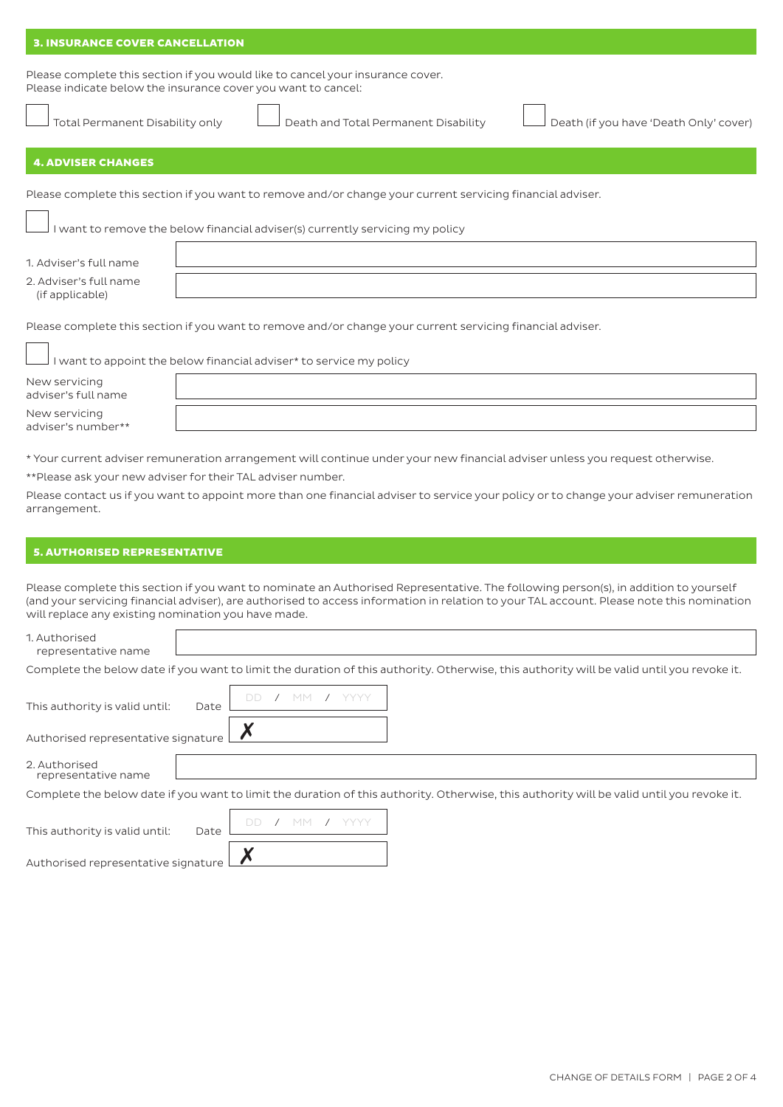#### 3. INSURANCE COVER CANCELLATION

Please complete this section if you would like to cancel your insurance cover. Please indicate below the insurance cover you want to cancel:

Total Permanent Disability only Death and Total Permanent Disability Death (if you have 'Death Only' cover)

# 4. ADVISER CHANGES

Please complete this section if you want to remove and/or change your current servicing financial adviser.

I want to remove the below financial adviser(s) currently servicing my policy

|  |  | 1. Adviser's full name |  |  |  |  |
|--|--|------------------------|--|--|--|--|
|--|--|------------------------|--|--|--|--|

2. Adviser's full name (if applicable)

Please complete this section if you want to remove and/or change your current servicing financial adviser.

|                                      | I want to appoint the below financial adviser* to service my policy |
|--------------------------------------|---------------------------------------------------------------------|
| New servicing<br>adviser's full name |                                                                     |
| New servicing<br>adviser's number**  |                                                                     |

\* Your current adviser remuneration arrangement will continue under your new financial adviser unless you request otherwise.

\*\*Please ask your new adviser for their TAL adviser number.

Please contact us if you want to appoint more than one financial adviser to service your policy or to change your adviser remuneration arrangement.

#### 5. AUTHORISED REPRESENTATIVE

Please complete this section if you want to nominate an Authorised Representative. The following person(s), in addition to yourself (and your servicing financial adviser), are authorised to access information in relation to your TAL account. Please note this nomination will replace any existing nomination you have made.

| 1. Authorised<br>representative name                                                                                                      |      |  |  |  |  |  |  |  |  |
|-------------------------------------------------------------------------------------------------------------------------------------------|------|--|--|--|--|--|--|--|--|
| Complete the below date if you want to limit the duration of this authority. Otherwise, this authority will be valid until you revoke it. |      |  |  |  |  |  |  |  |  |
| This authority is valid until:<br>Authorised representative signature $\mathop{!}$                                                        | Date |  |  |  |  |  |  |  |  |
| 2. Authorised<br>representative name                                                                                                      |      |  |  |  |  |  |  |  |  |
| Complete the below date if you want to limit the duration of this authority. Otherwise, this authority will be valid until you revoke it. |      |  |  |  |  |  |  |  |  |

| This authority is valid until:             | Date |  |  | DD / MM / YYYY |
|--------------------------------------------|------|--|--|----------------|
| Authorised representative signature $\Box$ |      |  |  |                |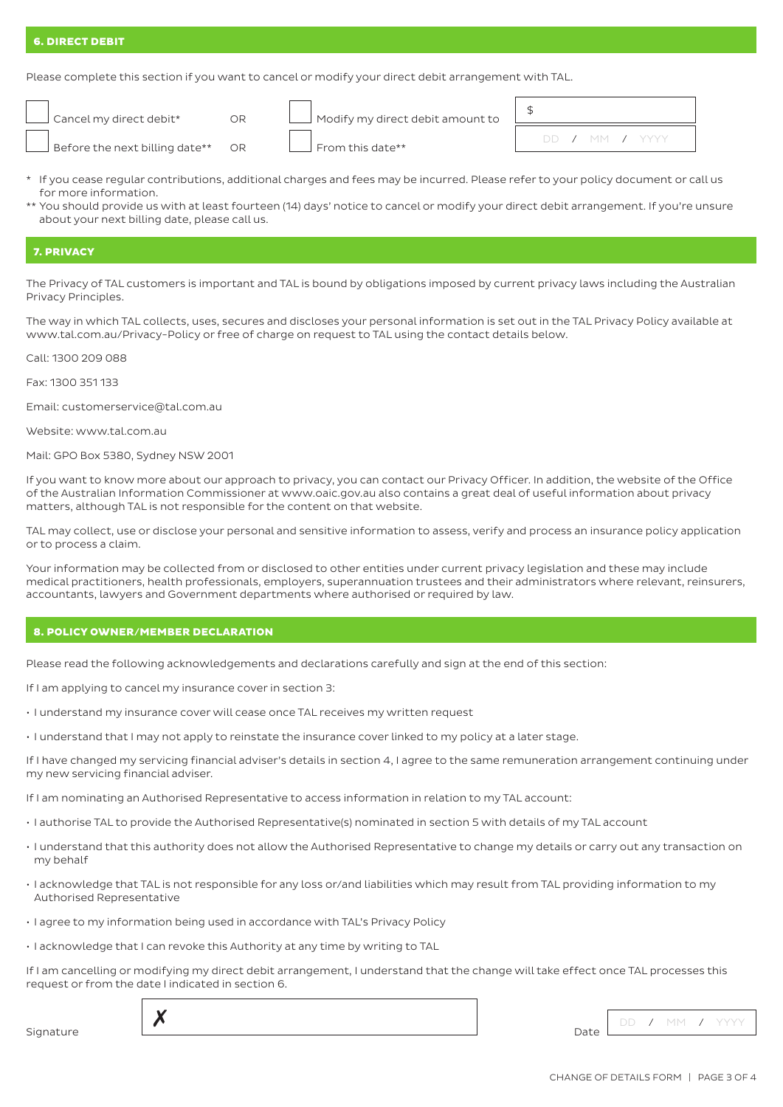# 6. DIRECT DEBIT

Please complete this section if you want to cancel or modify your direct debit arrangement with TAL.

| Cancel my direct debit*          |
|----------------------------------|
| $\Box$ Before the next billing a |

| re the next billing date**   OR |  | $\Box$ From this date** |
|---------------------------------|--|-------------------------|

| Cancel my direct debit* | Modify my direct debit amount to |
|-------------------------|----------------------------------|

|  |  | DD / MM / YYYY |  |
|--|--|----------------|--|

- \* If you cease regular contributions, additional charges and fees may be incurred. Please refer to your policy document or call us for more information.
- \*\* You should provide us with at least fourteen (14) days' notice to cancel or modify your direct debit arrangement. If you're unsure about your next billing date, please call us.

# 7. PRIVACY

The Privacy of TAL customers is important and TAL is bound by obligations imposed by current privacy laws including the Australian Privacy Principles.

The way in which TAL collects, uses, secures and discloses your personal information is set out in the TAL Privacy Policy available at www.tal.com.au/Privacy-Policy or free of charge on request to TAL using the contact details below.

Call: 1300 209 088

Fax: 1300 351 133

Email: customerservice@tal.com.au

Website: www.tal.com.au

Mail: GPO Box 5380, Sydney NSW 2001

If you want to know more about our approach to privacy, you can contact our Privacy Officer. In addition, the website of the Office of the Australian Information Commissioner at www.oaic.gov.au also contains a great deal of useful information about privacy matters, although TAL is not responsible for the content on that website.

TAL may collect, use or disclose your personal and sensitive information to assess, verify and process an insurance policy application or to process a claim.

Your information may be collected from or disclosed to other entities under current privacy legislation and these may include medical practitioners, health professionals, employers, superannuation trustees and their administrators where relevant, reinsurers, accountants, lawyers and Government departments where authorised or required by law.

#### 8. POLICY OWNER/MEMBER DECLARATION

Please read the following acknowledgements and declarations carefully and sign at the end of this section:

If I am applying to cancel my insurance cover in section 3:

- I understand my insurance cover will cease once TAL receives my written request
- I understand that I may not apply to reinstate the insurance cover linked to my policy at a later stage.

If I have changed my servicing financial adviser's details in section 4, I agree to the same remuneration arrangement continuing under my new servicing financial adviser.

If I am nominating an Authorised Representative to access information in relation to my TAL account:

- I authorise TAL to provide the Authorised Representative(s) nominated in section 5 with details of my TAL account
- I understand that this authority does not allow the Authorised Representative to change my details or carry out any transaction on my behalf
- I acknowledge that TAL is not responsible for any loss or/and liabilities which may result from TAL providing information to my Authorised Representative
- I agree to my information being used in accordance with TAL's Privacy Policy
- I acknowledge that I can revoke this Authority at any time by writing to TAL

If I am cancelling or modifying my direct debit arrangement, I understand that the change will take effect once TAL processes this request or from the date I indicated in section 6.

Date DD / MM / YYYY